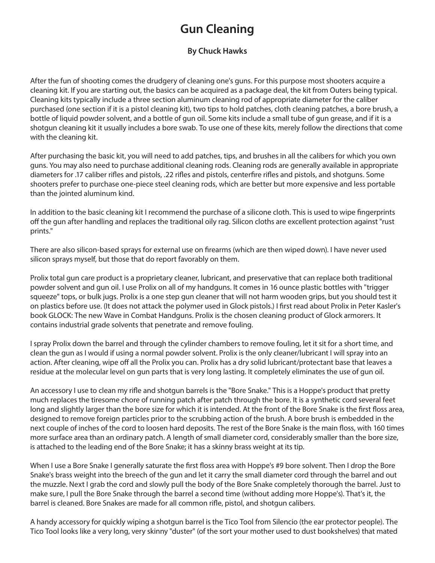## **Gun Cleaning**

## **By Chuck Hawks**

After the fun of shooting comes the drudgery of cleaning one's guns. For this purpose most shooters acquire a cleaning kit. If you are starting out, the basics can be acquired as a package deal, the kit from Outers being typical. Cleaning kits typically include a three section aluminum cleaning rod of appropriate diameter for the caliber purchased (one section if it is a pistol cleaning kit), two tips to hold patches, cloth cleaning patches, a bore brush, a bottle of liquid powder solvent, and a bottle of gun oil. Some kits include a small tube of gun grease, and if it is a shotgun cleaning kit it usually includes a bore swab. To use one of these kits, merely follow the directions that come with the cleaning kit.

After purchasing the basic kit, you will need to add patches, tips, and brushes in all the calibers for which you own guns. You may also need to purchase additional cleaning rods. Cleaning rods are generally available in appropriate diameters for .17 caliber rifles and pistols, .22 rifles and pistols, centerfire rifles and pistols, and shotguns. Some shooters prefer to purchase one-piece steel cleaning rods, which are better but more expensive and less portable than the jointed aluminum kind.

In addition to the basic cleaning kit I recommend the purchase of a silicone cloth. This is used to wipe fingerprints off the gun after handling and replaces the traditional oily rag. Silicon cloths are excellent protection against "rust prints."

There are also silicon-based sprays for external use on firearms (which are then wiped down). I have never used silicon sprays myself, but those that do report favorably on them.

Prolix total gun care product is a proprietary cleaner, lubricant, and preservative that can replace both traditional powder solvent and gun oil. I use Prolix on all of my handguns. It comes in 16 ounce plastic bottles with "trigger squeeze" tops, or bulk jugs. Prolix is a one step gun cleaner that will not harm wooden grips, but you should test it on plastics before use. (It does not attack the polymer used in Glock pistols.) I first read about Prolix in Peter Kasler's book GLOCK: The new Wave in Combat Handguns. Prolix is the chosen cleaning product of Glock armorers. It contains industrial grade solvents that penetrate and remove fouling.

I spray Prolix down the barrel and through the cylinder chambers to remove fouling, let it sit for a short time, and clean the gun as I would if using a normal powder solvent. Prolix is the only cleaner/lubricant I will spray into an action. After cleaning, wipe off all the Prolix you can. Prolix has a dry solid lubricant/protectant base that leaves a residue at the molecular level on gun parts that is very long lasting. It completely eliminates the use of gun oil.

An accessory I use to clean my rifle and shotgun barrels is the "Bore Snake." This is a Hoppe's product that pretty much replaces the tiresome chore of running patch after patch through the bore. It is a synthetic cord several feet long and slightly larger than the bore size for which it is intended. At the front of the Bore Snake is the first floss area, designed to remove foreign particles prior to the scrubbing action of the brush. A bore brush is embedded in the next couple of inches of the cord to loosen hard deposits. The rest of the Bore Snake is the main floss, with 160 times more surface area than an ordinary patch. A length of small diameter cord, considerably smaller than the bore size, is attached to the leading end of the Bore Snake; it has a skinny brass weight at its tip.

When I use a Bore Snake I generally saturate the first floss area with Hoppe's #9 bore solvent. Then I drop the Bore Snake's brass weight into the breech of the gun and let it carry the small diameter cord through the barrel and out the muzzle. Next I grab the cord and slowly pull the body of the Bore Snake completely thorough the barrel. Just to make sure, I pull the Bore Snake through the barrel a second time (without adding more Hoppe's). That's it, the barrel is cleaned. Bore Snakes are made for all common rifle, pistol, and shotgun calibers.

A handy accessory for quickly wiping a shotgun barrel is the Tico Tool from Silencio (the ear protector people). The Tico Tool looks like a very long, very skinny "duster" (of the sort your mother used to dust bookshelves) that mated